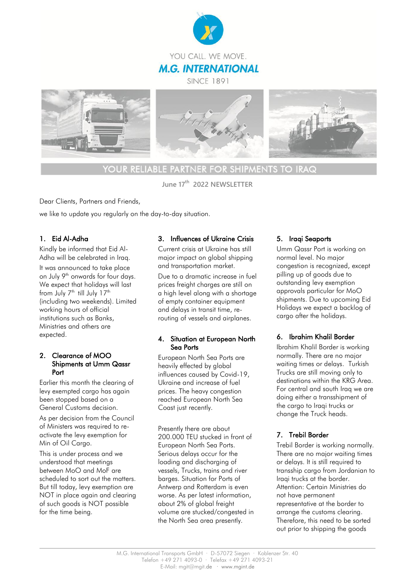





*YOUR RELIABLE PARTNER FOR SHIPMENTS TO IRAQ* 

**June 17th 2022 NEWSLETTER** 

Dear Clients, Partners and Friends,

we like to update you regularly on the day-to-day situation.

## 1. Eid Al-Adha

Kindly be informed that Eid Al-Adha will be celebrated in Iraq. It was announced to take place on July 9<sup>th</sup> onwards for four days. We expect that holidays will last from July  $7<sup>th</sup>$  till July  $17<sup>th</sup>$ (including two weekends). Limited working hours of official institutions such as Banks, Ministries and others are expected.

#### 2. Clearance of MOO Shipments at Umm Qassr Port

Earlier this month the clearing of levy exempted cargo has again been stopped based on a General Customs decision.

As per decision from the Council of Ministers was required to reactivate the levy exemption for Min of Oil Cargo.

This is under process and we understood that meetings between MoO and MoF are scheduled to sort out the matters. But till today, levy exemption are NOT in place again and clearing of such goods is NOT possible for the time being.

#### 3. Influences of Ukraine Crisis

Current crisis at Ukraine has still major impact on global shipping and transportation market.

Due to a dramatic increase in fuel prices freight charges are still on a high level along with a shortage of empty container equipment and delays in transit time, rerouting of vessels and airplanes.

#### 4. Situation at European North Sea Ports

European North Sea Ports are heavily effected by global influences caused by Covid-19, Ukraine and increase of fuel prices. The heavy congestion reached European North Sea Coast just recently.

Presently there are about 200.000 TEU stucked in front of European North Sea Ports. Serious delays occur for the loading and discharging of vessels, Trucks, trains and river barges. Situation for Ports of Antwerp and Rotterdam is even worse. As per latest information, about 2% of global freight volume are stucked/congested in the North Sea area presently.

## 5. Iraqi Seaports

Umm Qassr Port is working on normal level. No major congestion is recognized, except pilling up of goods due to outstanding levy exemption approvals particular for MoO shipments. Due to upcoming Eid Holidays we expect a backlog of cargo after the holidays.

## 6. Ibrahim Khalil Border

Ibrahim Khalil Border is working normally. There are no major waiting times or delays. Turkish Trucks are still moving only to destinations within the KRG Area. For central and south Iraq we are doing either a transshipment of the cargo to Iraqi trucks or change the Truck heads.

# 7. Trebil Border

Trebil Border is working normally. There are no major waiting times or delays. It is still required to transship cargo from Jordanian to Iraqi trucks at the border. Attention: Certain Ministries do not have permanent representative at the border to arrange the customs clearing. Therefore, this need to be sorted out prior to shipping the goods